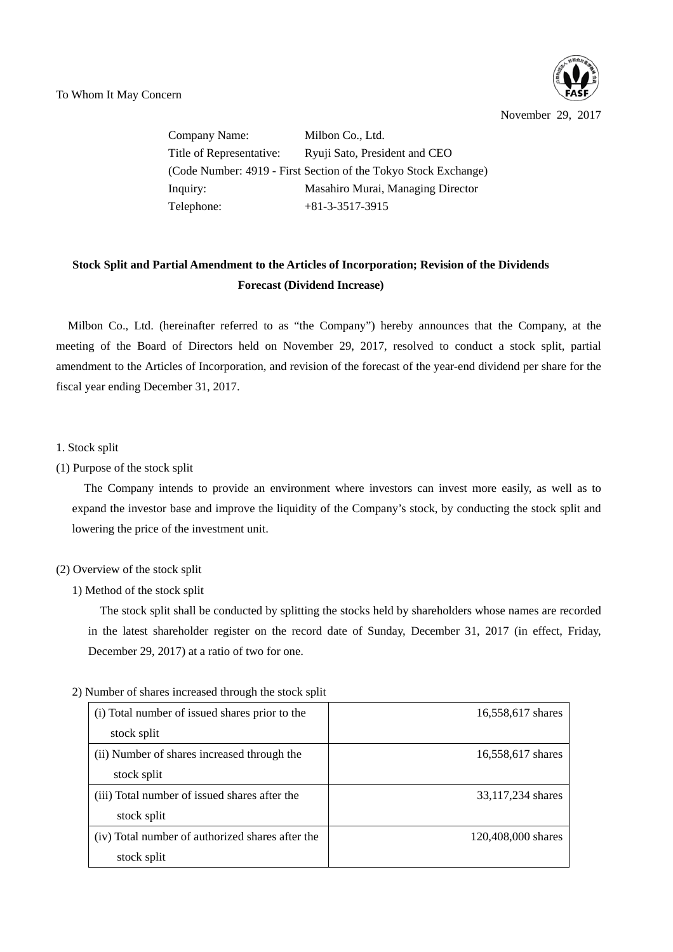November 29, 2017

Company Name: Milbon Co., Ltd. Title of Representative: Ryuji Sato, President and CEO (Code Number: 4919 - First Section of the Tokyo Stock Exchange) Inquiry: Masahiro Murai, Managing Director Telephone: +81-3-3517-3915

# **Stock Split and Partial Amendment to the Articles of Incorporation; Revision of the Dividends Forecast (Dividend Increase)**

Milbon Co., Ltd. (hereinafter referred to as "the Company") hereby announces that the Company, at the meeting of the Board of Directors held on November 29, 2017, resolved to conduct a stock split, partial amendment to the Articles of Incorporation, and revision of the forecast of the year-end dividend per share for the fiscal year ending December 31, 2017.

1. Stock split

(1) Purpose of the stock split

The Company intends to provide an environment where investors can invest more easily, as well as to expand the investor base and improve the liquidity of the Company's stock, by conducting the stock split and lowering the price of the investment unit.

### (2) Overview of the stock split

1) Method of the stock split

The stock split shall be conducted by splitting the stocks held by shareholders whose names are recorded in the latest shareholder register on the record date of Sunday, December 31, 2017 (in effect, Friday, December 29, 2017) at a ratio of two for one.

| (i) Total number of issued shares prior to the   | 16,558,617 shares  |
|--------------------------------------------------|--------------------|
| stock split                                      |                    |
| (ii) Number of shares increased through the      | 16,558,617 shares  |
| stock split                                      |                    |
| (iii) Total number of issued shares after the    | 33,117,234 shares  |
| stock split                                      |                    |
| (iv) Total number of authorized shares after the | 120,408,000 shares |
| stock split                                      |                    |

2) Number of shares increased through the stock split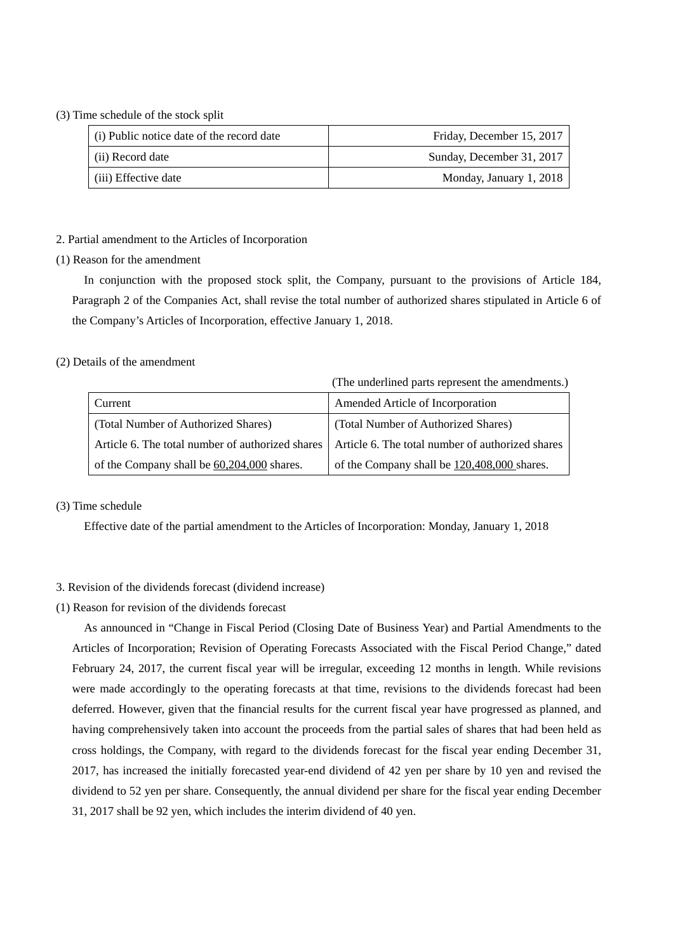### (3) Time schedule of the stock split

| (i) Public notice date of the record date | Friday, December 15, 2017 |  |
|-------------------------------------------|---------------------------|--|
| (ii) Record date                          | Sunday, December 31, 2017 |  |
| (iii) Effective date                      | Monday, January 1, 2018   |  |

#### 2. Partial amendment to the Articles of Incorporation

(1) Reason for the amendment

In conjunction with the proposed stock split, the Company, pursuant to the provisions of Article 184, Paragraph 2 of the Companies Act, shall revise the total number of authorized shares stipulated in Article 6 of the Company's Articles of Incorporation, effective January 1, 2018.

### (2) Details of the amendment

(The underlined parts represent the amendments.)

| Current                                          | Amended Article of Incorporation                 |  |
|--------------------------------------------------|--------------------------------------------------|--|
| (Total Number of Authorized Shares)              | (Total Number of Authorized Shares)              |  |
| Article 6. The total number of authorized shares | Article 6. The total number of authorized shares |  |
| of the Company shall be 60,204,000 shares.       | of the Company shall be 120,408,000 shares.      |  |

### (3) Time schedule

Effective date of the partial amendment to the Articles of Incorporation: Monday, January 1, 2018

### 3. Revision of the dividends forecast (dividend increase)

(1) Reason for revision of the dividends forecast

As announced in "Change in Fiscal Period (Closing Date of Business Year) and Partial Amendments to the Articles of Incorporation; Revision of Operating Forecasts Associated with the Fiscal Period Change," dated February 24, 2017, the current fiscal year will be irregular, exceeding 12 months in length. While revisions were made accordingly to the operating forecasts at that time, revisions to the dividends forecast had been deferred. However, given that the financial results for the current fiscal year have progressed as planned, and having comprehensively taken into account the proceeds from the partial sales of shares that had been held as cross holdings, the Company, with regard to the dividends forecast for the fiscal year ending December 31, 2017, has increased the initially forecasted year-end dividend of 42 yen per share by 10 yen and revised the dividend to 52 yen per share. Consequently, the annual dividend per share for the fiscal year ending December 31, 2017 shall be 92 yen, which includes the interim dividend of 40 yen.